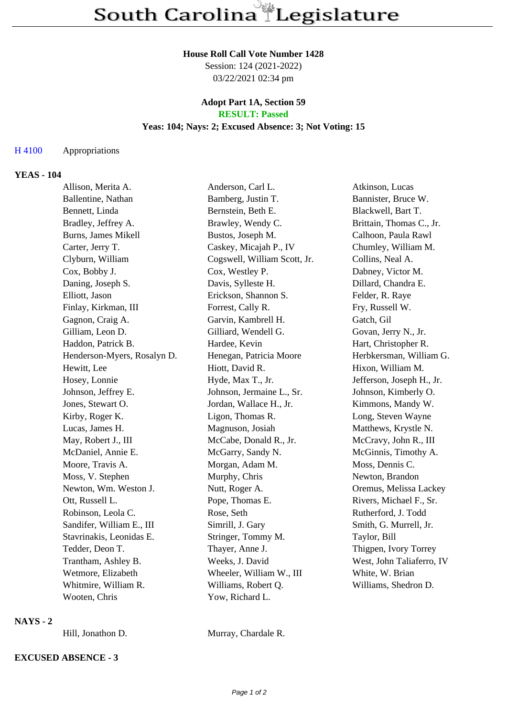#### **House Roll Call Vote Number 1428**

Session: 124 (2021-2022) 03/22/2021 02:34 pm

#### **Adopt Part 1A, Section 59 RESULT: Passed**

# **Yeas: 104; Nays: 2; Excused Absence: 3; Not Voting: 15**

### H 4100 Appropriations

### **YEAS - 104**

| Allison, Merita A.          | Anderson, Carl L.            | Atkinson, Lucas           |
|-----------------------------|------------------------------|---------------------------|
| Ballentine, Nathan          | Bamberg, Justin T.           | Bannister, Bruce W.       |
| Bennett, Linda              | Bernstein, Beth E.           | Blackwell, Bart T.        |
| Bradley, Jeffrey A.         | Brawley, Wendy C.            | Brittain, Thomas C., Jr.  |
| Burns, James Mikell         | Bustos, Joseph M.            | Calhoon, Paula Rawl       |
| Carter, Jerry T.            | Caskey, Micajah P., IV       | Chumley, William M.       |
| Clyburn, William            | Cogswell, William Scott, Jr. | Collins, Neal A.          |
| Cox, Bobby J.               | Cox, Westley P.              | Dabney, Victor M.         |
| Daning, Joseph S.           | Davis, Sylleste H.           | Dillard, Chandra E.       |
| Elliott, Jason              | Erickson, Shannon S.         | Felder, R. Raye           |
| Finlay, Kirkman, III        | Forrest, Cally R.            | Fry, Russell W.           |
| Gagnon, Craig A.            | Garvin, Kambrell H.          | Gatch, Gil                |
| Gilliam, Leon D.            | Gilliard, Wendell G.         | Govan, Jerry N., Jr.      |
| Haddon, Patrick B.          | Hardee, Kevin                | Hart, Christopher R.      |
| Henderson-Myers, Rosalyn D. | Henegan, Patricia Moore      | Herbkersman, William G.   |
| Hewitt, Lee                 | Hiott, David R.              | Hixon, William M.         |
| Hosey, Lonnie               | Hyde, Max T., Jr.            | Jefferson, Joseph H., Jr. |
| Johnson, Jeffrey E.         | Johnson, Jermaine L., Sr.    | Johnson, Kimberly O.      |
| Jones, Stewart O.           | Jordan, Wallace H., Jr.      | Kimmons, Mandy W.         |
| Kirby, Roger K.             | Ligon, Thomas R.             | Long, Steven Wayne        |
| Lucas, James H.             | Magnuson, Josiah             | Matthews, Krystle N.      |
| May, Robert J., III         | McCabe, Donald R., Jr.       | McCravy, John R., III     |
| McDaniel, Annie E.          | McGarry, Sandy N.            | McGinnis, Timothy A.      |
| Moore, Travis A.            | Morgan, Adam M.              | Moss, Dennis C.           |
| Moss, V. Stephen            | Murphy, Chris                | Newton, Brandon           |
| Newton, Wm. Weston J.       | Nutt, Roger A.               | Oremus, Melissa Lackey    |
| Ott, Russell L.             | Pope, Thomas E.              | Rivers, Michael F., Sr.   |
| Robinson, Leola C.          | Rose, Seth                   | Rutherford, J. Todd       |
| Sandifer, William E., III   | Simrill, J. Gary             | Smith, G. Murrell, Jr.    |
| Stavrinakis, Leonidas E.    | Stringer, Tommy M.           | Taylor, Bill              |
| Tedder, Deon T.             | Thayer, Anne J.              | Thigpen, Ivory Torrey     |
| Trantham, Ashley B.         | Weeks, J. David              | West, John Taliaferro, IV |
| Wetmore, Elizabeth          | Wheeler, William W., III     | White, W. Brian           |
| Whitmire, William R.        | Williams, Robert Q.          | Williams, Shedron D.      |
| Wooten, Chris               | Yow, Richard L.              |                           |

### **NAYS - 2**

**EXCUSED ABSENCE - 3**

Hill, Jonathon D. Murray, Chardale R.